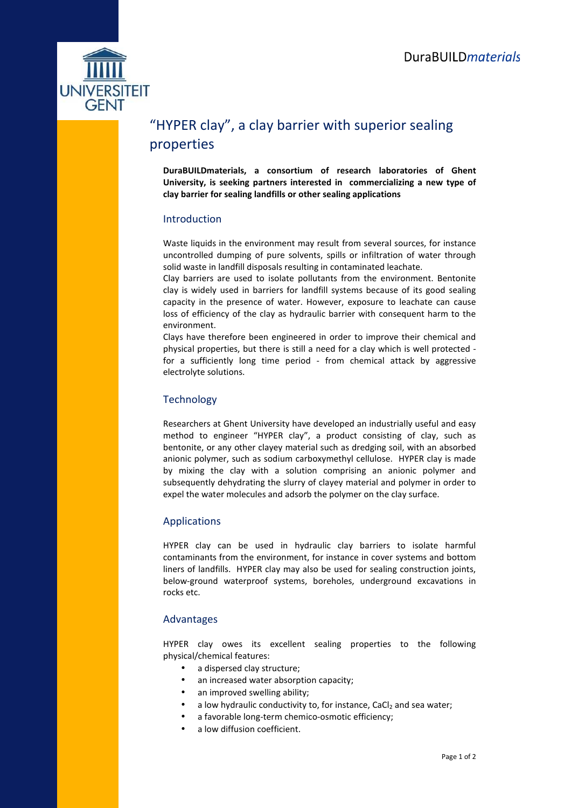

# "HYPER clay", a clay barrier with superior sealing properties

**DuraBUILDmaterials, a consortium of research laboratories of Ghent University, is seeking partners interested in commercializing a new type of clay barrier for sealing landfills or other sealing applications** 

## Introduction

Waste liquids in the environment may result from several sources, for instance uncontrolled dumping of pure solvents, spills or infiltration of water through solid waste in landfill disposals resulting in contaminated leachate.

Clay barriers are used to isolate pollutants from the environment. Bentonite clay is widely used in barriers for landfill systems because of its good sealing capacity in the presence of water. However, exposure to leachate can cause loss of efficiency of the clay as hydraulic barrier with consequent harm to the environment.

Clays have therefore been engineered in order to improve their chemical and physical properties, but there is still a need for a clay which is well protected for a sufficiently long time period - from chemical attack by aggressive electrolyte solutions.

## **Technology**

Researchers at Ghent University have developed an industrially useful and easy method to engineer "HYPER clay", a product consisting of clay, such as bentonite, or any other clayey material such as dredging soil, with an absorbed anionic polymer, such as sodium carboxymethyl cellulose. HYPER clay is made by mixing the clay with a solution comprising an anionic polymer and subsequently dehydrating the slurry of clayey material and polymer in order to expel the water molecules and adsorb the polymer on the clay surface.

## Applications

HYPER clay can be used in hydraulic clay barriers to isolate harmful contaminants from the environment, for instance in cover systems and bottom liners of landfills. HYPER clay may also be used for sealing construction joints, below-ground waterproof systems, boreholes, underground excavations in rocks etc.

## Advantages

HYPER clay owes its excellent sealing properties to the following physical/chemical features:

- a dispersed clay structure;
- an increased water absorption capacity;
- an improved swelling ability;
- a low hydraulic conductivity to, for instance,  $CaCl<sub>2</sub>$  and sea water;
- a favorable long-term chemico-osmotic efficiency;
- a low diffusion coefficient.